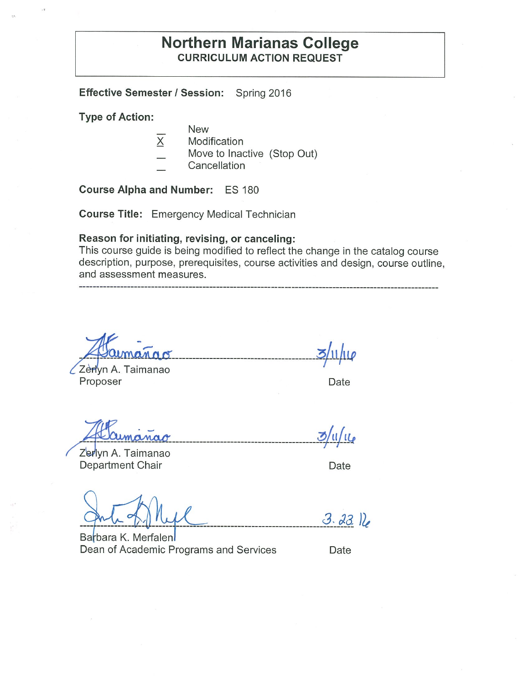# **Northern Marianas College CURRICULUM ACTION REQUEST**

**Effective Semester/ Session:** Spring 2016

**Type of Action:** 

- New
- X Modification
- Move to Inactive (Stop Out)
- **Cancellation**

**Course Alpha and Number:** ES 180

**Course Title:** Emergency Medical Technician

### **Reason for initiating, revising, or canceling:**

This course guide is being modified to reflect the change in the catalog course description, purpose, prerequisites, course activities and design, course outline, and assessment measures.

Zerlyn A. Taimanao Proposer **Date** 

----------------------------------- **~1/11l!** -

Zerlyn A. Taimanao Department Chair **Department** Chair

**\_\_\_\_\_\_\_\_\_\_\_\_\_\_\_\_\_\_\_\_\_\_\_\_\_\_\_\_\_\_\_\_\_\_\_\_\_\_\_\_\_\_\_ -:!>/~r/!1'** 

 $3.2316$ 

Barbara K. Merfalen Dean of Academic Programs and Services Date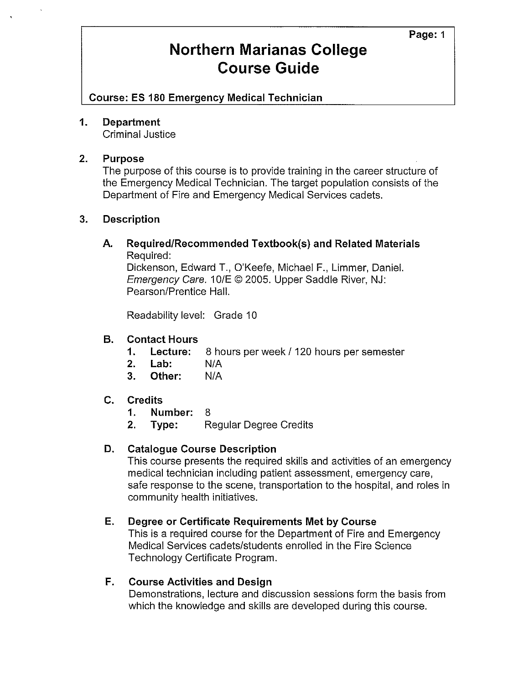**Course: ES 180 Emergency Medical Technician** 

#### **1. Department**

Criminal Justice

#### **2. Purpose**

The purpose of this course is to provide training in the career structure of the Emergency Medical Technician. The target population consists of the Department of Fire and Emergency Medical Services cadets.

### **3. Description**

**A. Required/Recommended Textbook(s) and Related Materials**  Required:

Dickenson, Edward T., O'Keefe, Michael F., Limmer, Daniel. Emergency Care. 10/E © 2005. Upper Saddle River, NJ: Pearson/Prentice Hall.

Readability level: Grade 10

### **B. Contact Hours**

- **1. Lecture:** 8 hours per week / 120 hours per semester
- **2. Lab:** N/A
- **3. Other:** N/A

#### **C. Credits**

- **1. Number:** 8
- **2. Type:** Regular Degree Credits

### **D. Catalogue Course Description**

This course presents the required skills and activities of an emergency medical technician including patient assessment, emergency care, safe response to the scene, transportation to the hospital, and roles in community health initiatives.

# **E. Degree or Certificate Requirements Met by Course**

This is a required course for the Department of Fire and Emergency Medical Services cadets/students enrolled in the Fire Science Technology Certificate Program.

#### **F. Course Activities and Design**

Demonstrations, lecture and discussion sessions form the basis from which the knowledge and skills are developed during this course.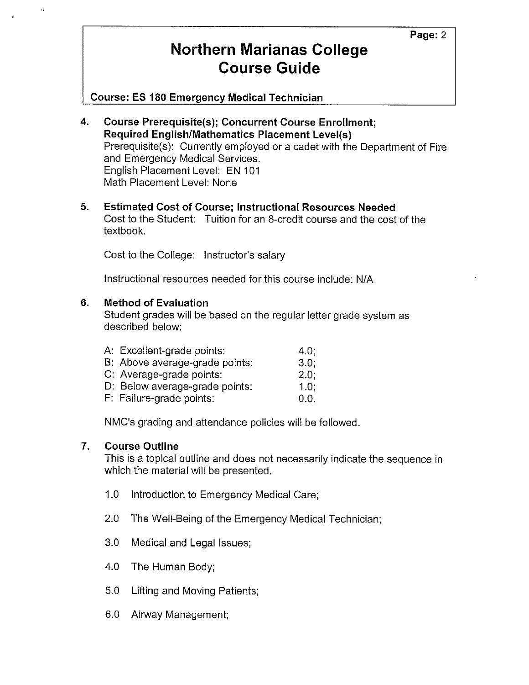**Course: ES 180 Emergency Medical Technician** 

- **4. Course Prerequisite(s); Concurrent Course Enrollment; Required English/Mathematics Placement Level(s)**  Prerequisite(s): Currently employed or a cadet with the Department of Fire and Emergency Medical Services. English Placement Level: EN 101 Math Placement Level: None
- **5. Estimated Cost of Course; Instructional Resources Needed**  Cost to the Student: Tuition for an 8-credit course and the cost of the textbook.

Cost to the College: Instructor's salary

Instructional resources needed for this course include: N/A

### **6. Method of Evaluation**

Student grades will be based on the regular letter grade system as described below:

| A: Excellent-grade points:     | 4.0: |
|--------------------------------|------|
| B: Above average-grade points: | 3.0: |
| C: Average-grade points:       | 2.0: |
| D: Below average-grade points: | 1.0: |
| F: Failure-grade points:       | 0.0. |

NMC's grading and attendance policies will be followed.

### **7. Course Outline**

This is a topical outline and does not necessarily indicate the sequence in which the material will be presented.

- 1.0 Introduction to Emergency Medical Care;
- 2.0 The Well-Being of the Emergency Medical Technician;
- 3.0 Medical and Legal Issues;
- 4.0 The Human Body;
- 5.0 Lifting and Moving Patients;
- 6.0 Airway Management;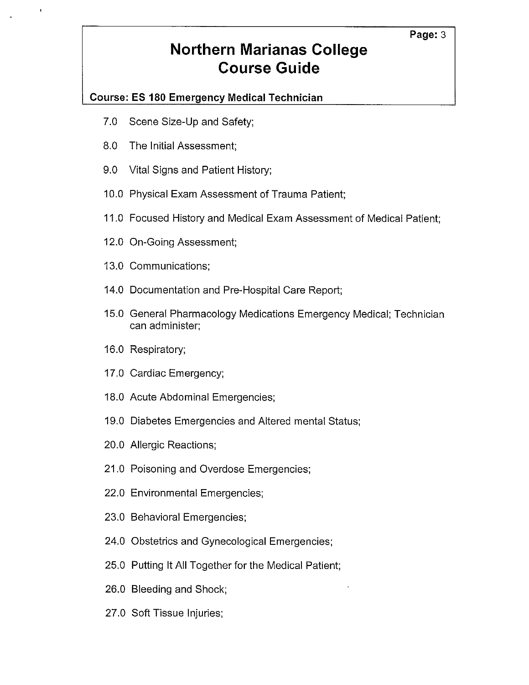# **Course: ES 180 Emergency Medical Technician**

- 7.0 Scene Size-Up and Safety;
- 8.0 The Initial Assessment;
- 9.0 Vital Signs and Patient History;
- 10.0 Physical Exam Assessment of Trauma Patient;
- 11.0 Focused History and Medical Exam Assessment of Medical Patient;
- 12.0 On-Going Assessment;
- 13.0 Communications;
- 14.0 Documentation and Pre-Hospital Care Report;
- 15.0 General Pharmacology Medications Emergency Medical; Technician can administer;
- 16.0 Respiratory;
- 17.0 Cardiac Emergency;
- 18.0 Acute Abdominal Emergencies;
- 19.0 Diabetes Emergencies and Altered mental Status;
- 20.0 Allergic Reactions;
- 21.0 Poisoning and Overdose Emergencies;
- 22.0 Environmental Emergencies;
- 23.0 Behavioral Emergencies;
- 24.0 Obstetrics and Gynecological Emergencies;
- 25.0 Putting It All Together for the Medical Patient;
- 26.0 Bleeding and Shock;
- 27.0 Soft Tissue Injuries;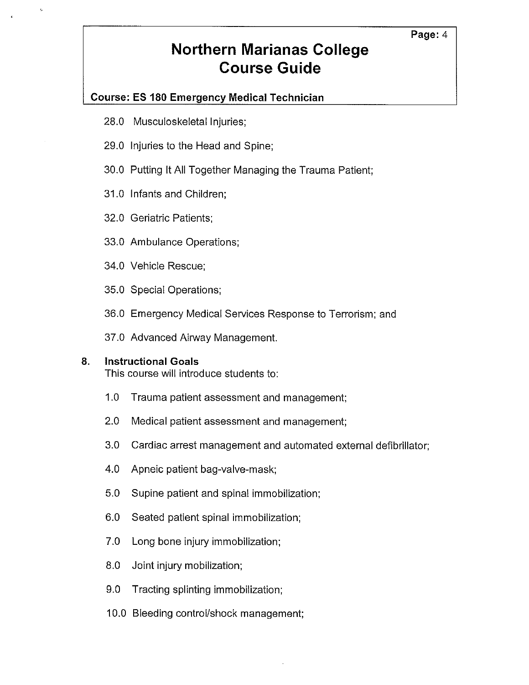# **Course: ES 180 Emergency Medical Technician**

28.0 Musculoskeletal Injuries;

ł.

- 29.0 Injuries to the Head and Spine;
- 30.0 Putting It All Together Managing the Trauma Patient;
- 31.0 Infants and Children;
- 32.0 Geriatric Patients;
- 33.0 Ambulance Operations;
- 34.0 Vehicle Rescue;
- 35.0 Special Operations;
- 36.0 Emergency Medical Services Response to Terrorism; and
- 37.0 Advanced Airway Management.

#### **8. Instructional Goals**

This course will introduce students to:

- 1.0 Trauma patient assessment and management;
- 2.0 Medical patient assessment and management;
- 3.0 Cardiac arrest management and automated external defibrillator;
- 4.0 Apneic patient bag-valve-mask;
- 5.0 Supine patient and spinal immobilization;
- 6.0 Seated patient spinal immobilization;
- 7.0 Long bone injury immobilization;
- 8.0 Joint injury mobilization;
- 9.0 Tracting splinting immobilization;
- 10.0 Bleeding control/shock management;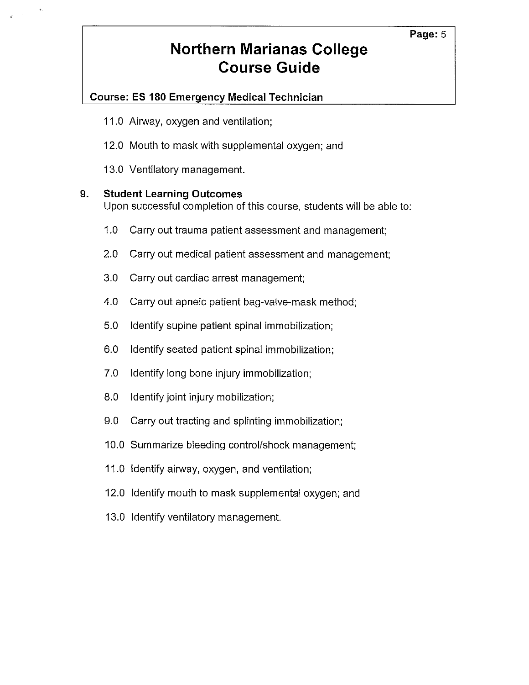# **Course: ES 180 Emergency Medical Technician**

- 11.0 Airway, oxygen and ventilation;
- 12.0 Mouth to mask with supplemental oxygen; and
- 13.0 Ventilatory management.

### **9. Student Learning Outcomes**

Upon successful completion of this course, students will be able to:

- 1.0 Carry out trauma patient assessment and management;
- 2.0 Carry out medical patient assessment and management;
- 3.0 Carry out cardiac arrest management;
- 4.0 Carry out apneic patient bag-valve-mask method;
- 5.0 Identify supine patient spinal immobilization;
- 6.0 Identify seated patient spinal immobilization;
- 7.0 Identify long bone injury immobilization;
- 8.0 Identify joint injury mobilization;
- 9.0 Carry out tracting and splinting immobilization;
- 10.0 Summarize bleeding control/shock management;
- 11.0 Identify airway, oxygen, and ventilation;
- 12.0 Identify mouth to mask supplemental oxygen; and
- 13.0 Identify ventilatory management.